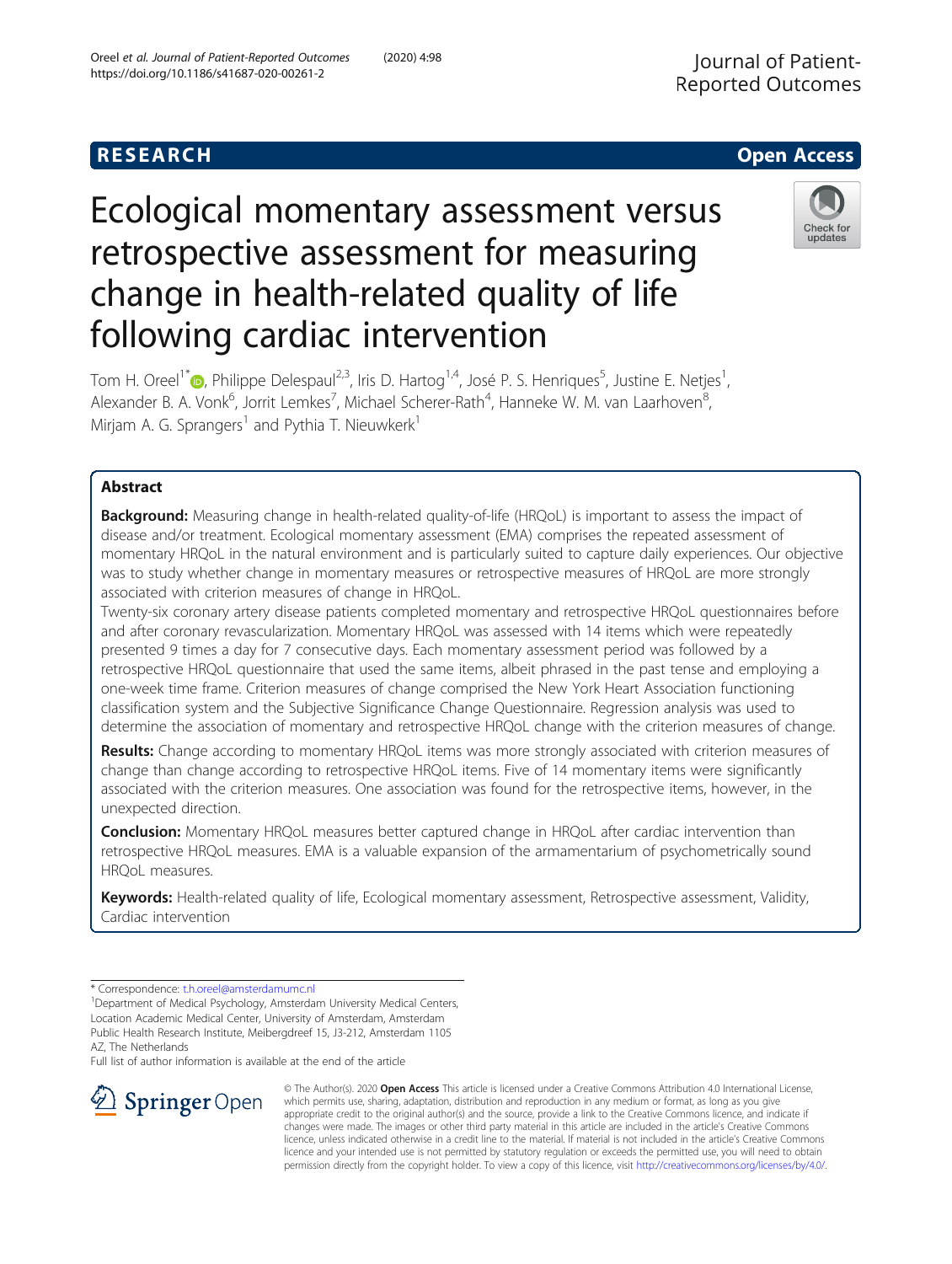# **RESEARCH CHE Open Access**

# Check for updates

# following cardiac intervention Tom H. Oreel<sup>1\*</sup> (D[,](http://orcid.org/0000-0001-5012-4878) Philippe Delespaul<sup>2,3</sup>, Iris D. Hartog<sup>1,4</sup>, José P. S. Henriques<sup>5</sup>, Justine E. Netjes<sup>1</sup> , Alexander B. A. Vonk<sup>6</sup>, Jorrit Lemkes<sup>7</sup>, Michael Scherer-Rath<sup>4</sup>, Hanneke W. M. van Laarhoven<sup>8</sup> ;<br>, Mirjam A. G. Sprangers<sup>1</sup> and Pythia T. Nieuwkerk<sup>1</sup>

Ecological momentary assessment versus

retrospective assessment for measuring

change in health-related quality of life

## Abstract

**Background:** Measuring change in health-related quality-of-life (HRQoL) is important to assess the impact of disease and/or treatment. Ecological momentary assessment (EMA) comprises the repeated assessment of momentary HRQoL in the natural environment and is particularly suited to capture daily experiences. Our objective was to study whether change in momentary measures or retrospective measures of HRQoL are more strongly associated with criterion measures of change in HRQoL.

Twenty-six coronary artery disease patients completed momentary and retrospective HRQoL questionnaires before and after coronary revascularization. Momentary HRQoL was assessed with 14 items which were repeatedly presented 9 times a day for 7 consecutive days. Each momentary assessment period was followed by a retrospective HRQoL questionnaire that used the same items, albeit phrased in the past tense and employing a one-week time frame. Criterion measures of change comprised the New York Heart Association functioning classification system and the Subjective Significance Change Questionnaire. Regression analysis was used to determine the association of momentary and retrospective HRQoL change with the criterion measures of change.

Results: Change according to momentary HRQoL items was more strongly associated with criterion measures of change than change according to retrospective HRQoL items. Five of 14 momentary items were significantly associated with the criterion measures. One association was found for the retrospective items, however, in the unexpected direction.

Conclusion: Momentary HRQoL measures better captured change in HRQoL after cardiac intervention than retrospective HRQoL measures. EMA is a valuable expansion of the armamentarium of psychometrically sound HRQoL measures.

Keywords: Health-related quality of life, Ecological momentary assessment, Retrospective assessment, Validity, Cardiac intervention

Full list of author information is available at the end of the article



© The Author(s). 2020 Open Access This article is licensed under a Creative Commons Attribution 4.0 International License, which permits use, sharing, adaptation, distribution and reproduction in any medium or format, as long as you give appropriate credit to the original author(s) and the source, provide a link to the Creative Commons licence, and indicate if changes were made. The images or other third party material in this article are included in the article's Creative Commons licence, unless indicated otherwise in a credit line to the material. If material is not included in the article's Creative Commons licence and your intended use is not permitted by statutory regulation or exceeds the permitted use, you will need to obtain permission directly from the copyright holder. To view a copy of this licence, visit <http://creativecommons.org/licenses/by/4.0/>.

<sup>\*</sup> Correspondence: [t.h.oreel@amsterdamumc.nl](mailto:t.h.oreel@amsterdamumc.nl) <sup>1</sup>

<sup>&</sup>lt;sup>1</sup>Department of Medical Psychology, Amsterdam University Medical Centers, Location Academic Medical Center, University of Amsterdam, Amsterdam Public Health Research Institute, Meibergdreef 15, J3-212, Amsterdam 1105 AZ, The Netherlands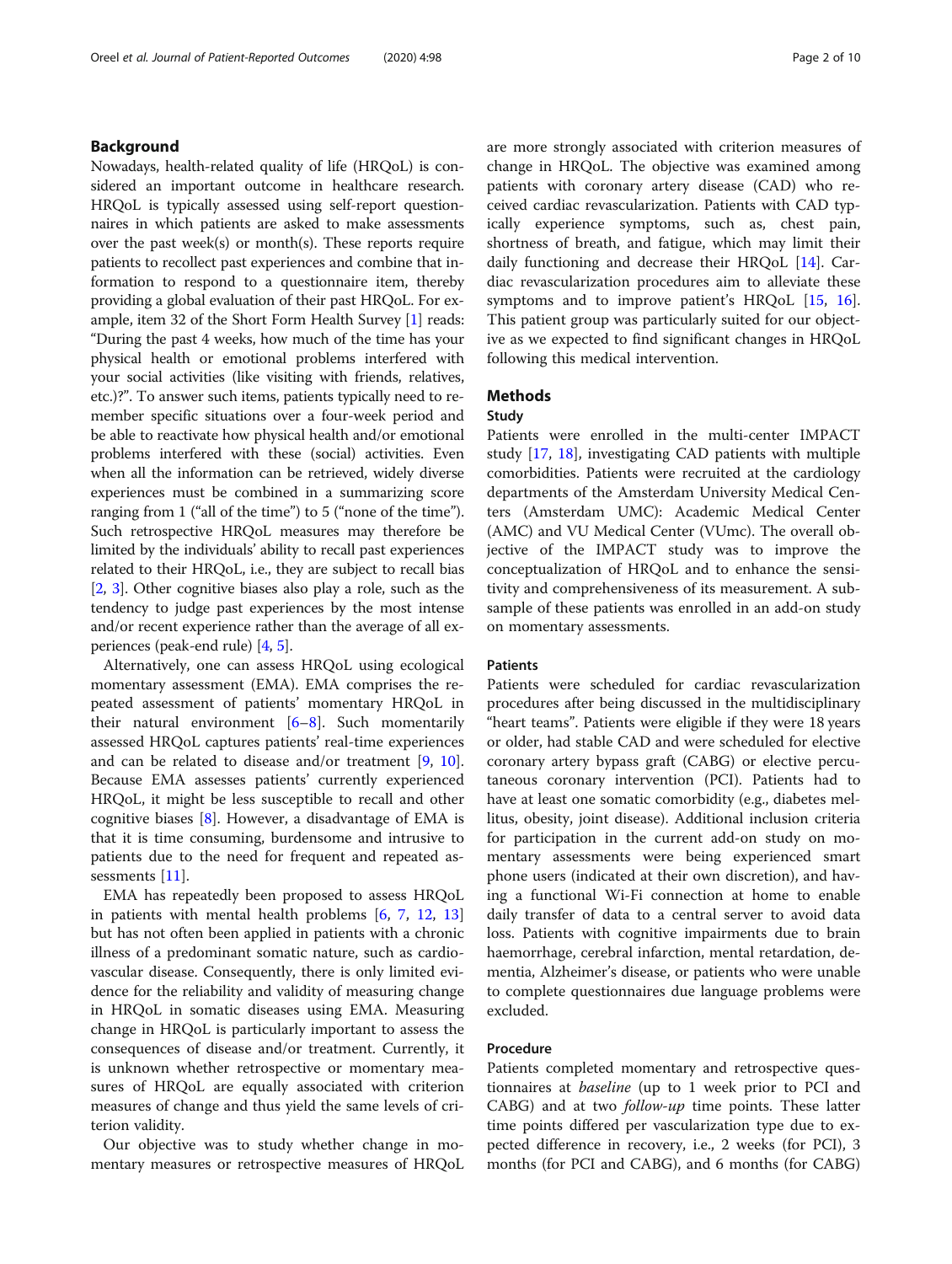#### Background

Nowadays, health-related quality of life (HRQoL) is considered an important outcome in healthcare research. HRQoL is typically assessed using self-report questionnaires in which patients are asked to make assessments over the past week(s) or month(s). These reports require patients to recollect past experiences and combine that information to respond to a questionnaire item, thereby providing a global evaluation of their past HRQoL. For example, item 32 of the Short Form Health Survey [[1](#page-8-0)] reads: "During the past 4 weeks, how much of the time has your physical health or emotional problems interfered with your social activities (like visiting with friends, relatives, etc.)?". To answer such items, patients typically need to remember specific situations over a four-week period and be able to reactivate how physical health and/or emotional problems interfered with these (social) activities. Even when all the information can be retrieved, widely diverse experiences must be combined in a summarizing score ranging from 1 ("all of the time") to 5 ("none of the time"). Such retrospective HRQoL measures may therefore be limited by the individuals' ability to recall past experiences related to their HRQoL, i.e., they are subject to recall bias [[2,](#page-8-0) [3\]](#page-8-0). Other cognitive biases also play a role, such as the tendency to judge past experiences by the most intense and/or recent experience rather than the average of all experiences (peak-end rule) [[4,](#page-8-0) [5](#page-8-0)].

Alternatively, one can assess HRQoL using ecological momentary assessment (EMA). EMA comprises the repeated assessment of patients' momentary HRQoL in their natural environment [\[6](#page-8-0)–[8](#page-8-0)]. Such momentarily assessed HRQoL captures patients' real-time experiences and can be related to disease and/or treatment [\[9](#page-8-0), [10](#page-8-0)]. Because EMA assesses patients' currently experienced HRQoL, it might be less susceptible to recall and other cognitive biases [[8\]](#page-8-0). However, a disadvantage of EMA is that it is time consuming, burdensome and intrusive to patients due to the need for frequent and repeated assessments [[11](#page-8-0)].

EMA has repeatedly been proposed to assess HRQoL in patients with mental health problems [\[6](#page-8-0), [7](#page-8-0), [12,](#page-8-0) [13](#page-8-0)] but has not often been applied in patients with a chronic illness of a predominant somatic nature, such as cardiovascular disease. Consequently, there is only limited evidence for the reliability and validity of measuring change in HRQoL in somatic diseases using EMA. Measuring change in HRQoL is particularly important to assess the consequences of disease and/or treatment. Currently, it is unknown whether retrospective or momentary measures of HRQoL are equally associated with criterion measures of change and thus yield the same levels of criterion validity.

Our objective was to study whether change in momentary measures or retrospective measures of HRQoL are more strongly associated with criterion measures of change in HRQoL. The objective was examined among patients with coronary artery disease (CAD) who received cardiac revascularization. Patients with CAD typically experience symptoms, such as, chest pain, shortness of breath, and fatigue, which may limit their daily functioning and decrease their HRQoL [[14\]](#page-8-0). Cardiac revascularization procedures aim to alleviate these symptoms and to improve patient's HRQoL [[15,](#page-8-0) [16](#page-8-0)]. This patient group was particularly suited for our objective as we expected to find significant changes in HRQoL following this medical intervention.

#### **Methods**

#### Study

Patients were enrolled in the multi-center IMPACT study [\[17](#page-8-0), [18\]](#page-8-0), investigating CAD patients with multiple comorbidities. Patients were recruited at the cardiology departments of the Amsterdam University Medical Centers (Amsterdam UMC): Academic Medical Center (AMC) and VU Medical Center (VUmc). The overall objective of the IMPACT study was to improve the conceptualization of HRQoL and to enhance the sensitivity and comprehensiveness of its measurement. A subsample of these patients was enrolled in an add-on study on momentary assessments.

#### Patients

Patients were scheduled for cardiac revascularization procedures after being discussed in the multidisciplinary "heart teams". Patients were eligible if they were 18 years or older, had stable CAD and were scheduled for elective coronary artery bypass graft (CABG) or elective percutaneous coronary intervention (PCI). Patients had to have at least one somatic comorbidity (e.g., diabetes mellitus, obesity, joint disease). Additional inclusion criteria for participation in the current add-on study on momentary assessments were being experienced smart phone users (indicated at their own discretion), and having a functional Wi-Fi connection at home to enable daily transfer of data to a central server to avoid data loss. Patients with cognitive impairments due to brain haemorrhage, cerebral infarction, mental retardation, dementia, Alzheimer's disease, or patients who were unable to complete questionnaires due language problems were excluded.

#### Procedure

Patients completed momentary and retrospective questionnaires at baseline (up to 1 week prior to PCI and CABG) and at two  $follow-up$  time points. These latter time points differed per vascularization type due to expected difference in recovery, i.e., 2 weeks (for PCI), 3 months (for PCI and CABG), and 6 months (for CABG)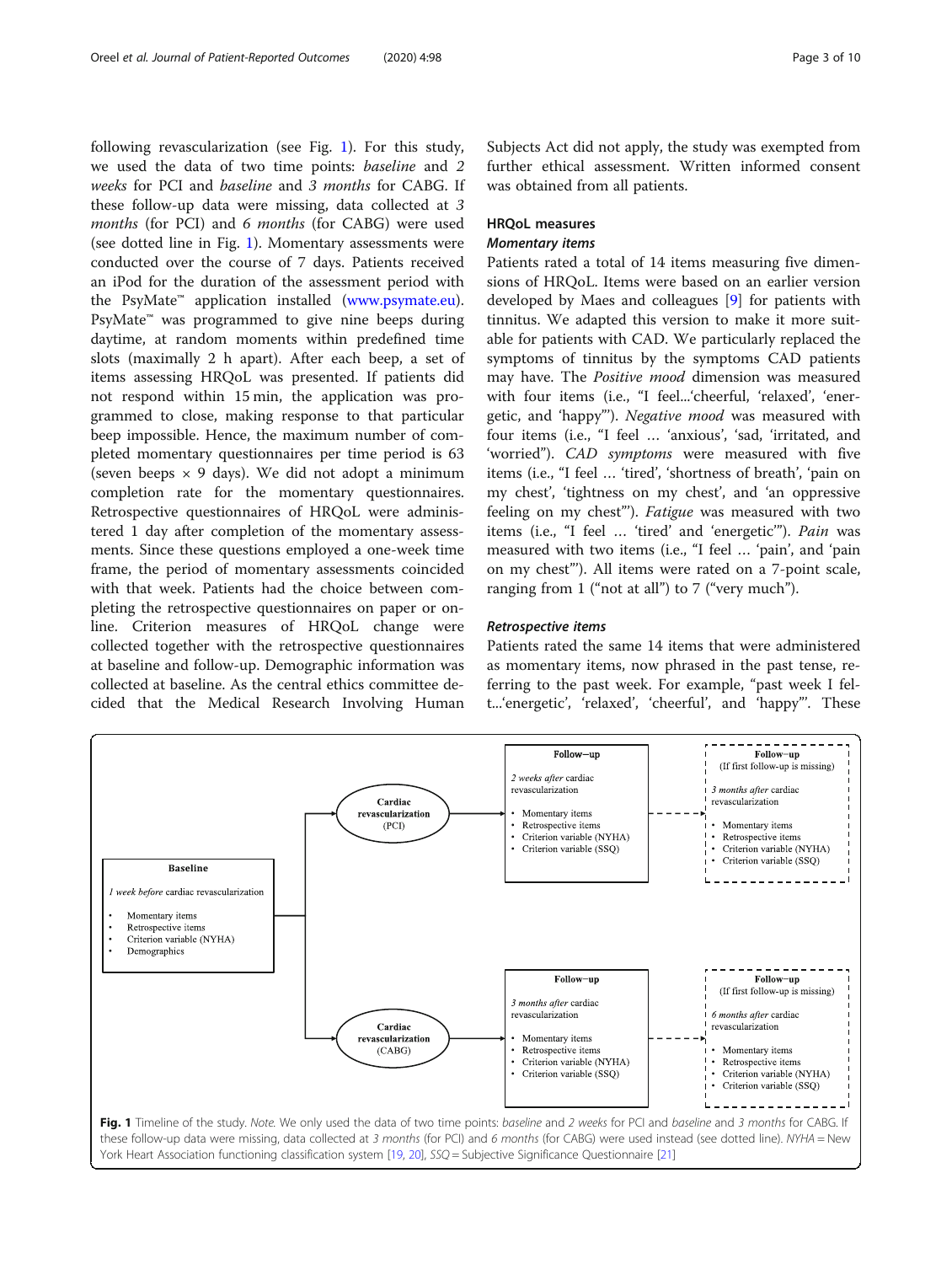following revascularization (see Fig. 1). For this study, we used the data of two time points: baseline and 2 weeks for PCI and baseline and 3 months for CABG. If these follow-up data were missing, data collected at 3 months (for PCI) and 6 months (for CABG) were used (see dotted line in Fig. 1). Momentary assessments were conducted over the course of 7 days. Patients received an iPod for the duration of the assessment period with the PsyMate™ application installed [\(www.psymate.eu](http://www.psymate.eu)). PsyMate<sup>™</sup> was programmed to give nine beeps during daytime, at random moments within predefined time slots (maximally 2 h apart). After each beep, a set of items assessing HRQoL was presented. If patients did not respond within 15 min, the application was programmed to close, making response to that particular beep impossible. Hence, the maximum number of completed momentary questionnaires per time period is 63 (seven beeps  $\times$  9 days). We did not adopt a minimum completion rate for the momentary questionnaires. Retrospective questionnaires of HRQoL were administered 1 day after completion of the momentary assessments. Since these questions employed a one-week time frame, the period of momentary assessments coincided with that week. Patients had the choice between completing the retrospective questionnaires on paper or online. Criterion measures of HRQoL change were collected together with the retrospective questionnaires at baseline and follow-up. Demographic information was collected at baseline. As the central ethics committee decided that the Medical Research Involving Human Subjects Act did not apply, the study was exempted from further ethical assessment. Written informed consent was obtained from all patients.

# HRQoL measures

#### Momentary items

Patients rated a total of 14 items measuring five dimensions of HRQoL. Items were based on an earlier version developed by Maes and colleagues [[9\]](#page-8-0) for patients with tinnitus. We adapted this version to make it more suitable for patients with CAD. We particularly replaced the symptoms of tinnitus by the symptoms CAD patients may have. The Positive mood dimension was measured with four items (i.e., "I feel...'cheerful, 'relaxed', 'energetic, and 'happy'"). Negative mood was measured with four items (i.e., "I feel … 'anxious', 'sad, 'irritated, and 'worried"). CAD symptoms were measured with five items (i.e., "I feel … 'tired', 'shortness of breath', 'pain on my chest', 'tightness on my chest', and 'an oppressive feeling on my chest"'). Fatigue was measured with two items (i.e., "I feel ... 'tired' and 'energetic'"). Pain was measured with two items (i.e., "I feel … 'pain', and 'pain on my chest"'). All items were rated on a 7-point scale, ranging from 1 ("not at all") to 7 ("very much").

#### Retrospective items

Patients rated the same 14 items that were administered as momentary items, now phrased in the past tense, referring to the past week. For example, "past week I felt...'energetic', 'relaxed', 'cheerful', and 'happy"'. These

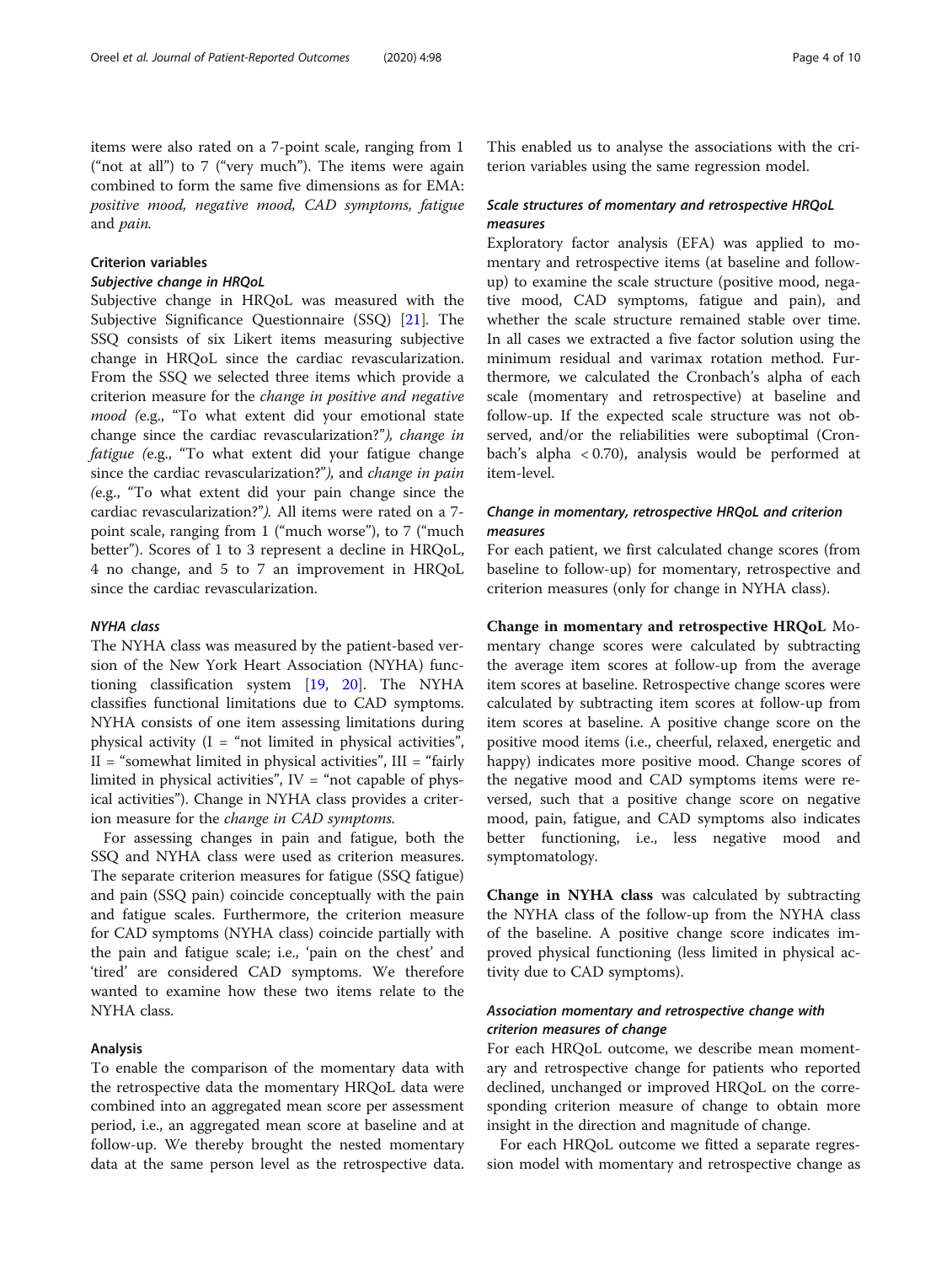items were also rated on a 7-point scale, ranging from 1 ("not at all") to 7 ("very much"). The items were again combined to form the same five dimensions as for EMA: positive mood, negative mood, CAD symptoms, fatigue and pain.

### Criterion variables

#### Subjective change in HRQoL

Subjective change in HRQoL was measured with the Subjective Significance Questionnaire (SSQ) [[21\]](#page-8-0). The SSQ consists of six Likert items measuring subjective change in HRQoL since the cardiac revascularization. From the SSQ we selected three items which provide a criterion measure for the change in positive and negative mood (e.g., "To what extent did your emotional state change since the cardiac revascularization?"), change in fatigue (e.g., "To what extent did your fatigue change since the cardiac revascularization?"), and change in pain (e.g., "To what extent did your pain change since the cardiac revascularization?"). All items were rated on a 7 point scale, ranging from 1 ("much worse"), to 7 ("much better"). Scores of 1 to 3 represent a decline in HRQoL, 4 no change, and 5 to 7 an improvement in HRQoL since the cardiac revascularization.

#### NYHA class

The NYHA class was measured by the patient-based version of the New York Heart Association (NYHA) functioning classification system [[19,](#page-8-0) [20\]](#page-8-0). The NYHA classifies functional limitations due to CAD symptoms. NYHA consists of one item assessing limitations during physical activity  $(I = "not limited in physical activities",$  $II = "somewhat limited in physical activities", III = "fairly"$ limited in physical activities",  $IV = "not capable of phys$ ical activities"). Change in NYHA class provides a criterion measure for the change in CAD symptoms.

For assessing changes in pain and fatigue, both the SSQ and NYHA class were used as criterion measures. The separate criterion measures for fatigue (SSQ fatigue) and pain (SSQ pain) coincide conceptually with the pain and fatigue scales. Furthermore, the criterion measure for CAD symptoms (NYHA class) coincide partially with the pain and fatigue scale; i.e., 'pain on the chest' and 'tired' are considered CAD symptoms. We therefore wanted to examine how these two items relate to the NYHA class.

#### Analysis

To enable the comparison of the momentary data with the retrospective data the momentary HRQoL data were combined into an aggregated mean score per assessment period, i.e., an aggregated mean score at baseline and at follow-up. We thereby brought the nested momentary data at the same person level as the retrospective data.

This enabled us to analyse the associations with the criterion variables using the same regression model.

#### Scale structures of momentary and retrospective HRQoL measures

Exploratory factor analysis (EFA) was applied to momentary and retrospective items (at baseline and followup) to examine the scale structure (positive mood, negative mood, CAD symptoms, fatigue and pain), and whether the scale structure remained stable over time. In all cases we extracted a five factor solution using the minimum residual and varimax rotation method. Furthermore, we calculated the Cronbach's alpha of each scale (momentary and retrospective) at baseline and follow-up. If the expected scale structure was not observed, and/or the reliabilities were suboptimal (Cronbach's alpha < 0.70), analysis would be performed at item-level.

#### Change in momentary, retrospective HRQoL and criterion measures

For each patient, we first calculated change scores (from baseline to follow-up) for momentary, retrospective and criterion measures (only for change in NYHA class).

Change in momentary and retrospective HRQoL Momentary change scores were calculated by subtracting the average item scores at follow-up from the average item scores at baseline. Retrospective change scores were calculated by subtracting item scores at follow-up from item scores at baseline. A positive change score on the positive mood items (i.e., cheerful, relaxed, energetic and happy) indicates more positive mood. Change scores of the negative mood and CAD symptoms items were reversed, such that a positive change score on negative mood, pain, fatigue, and CAD symptoms also indicates better functioning, i.e., less negative mood and symptomatology.

Change in NYHA class was calculated by subtracting the NYHA class of the follow-up from the NYHA class of the baseline. A positive change score indicates improved physical functioning (less limited in physical activity due to CAD symptoms).

#### Association momentary and retrospective change with criterion measures of change

For each HRQoL outcome, we describe mean momentary and retrospective change for patients who reported declined, unchanged or improved HRQoL on the corresponding criterion measure of change to obtain more insight in the direction and magnitude of change.

For each HRQoL outcome we fitted a separate regression model with momentary and retrospective change as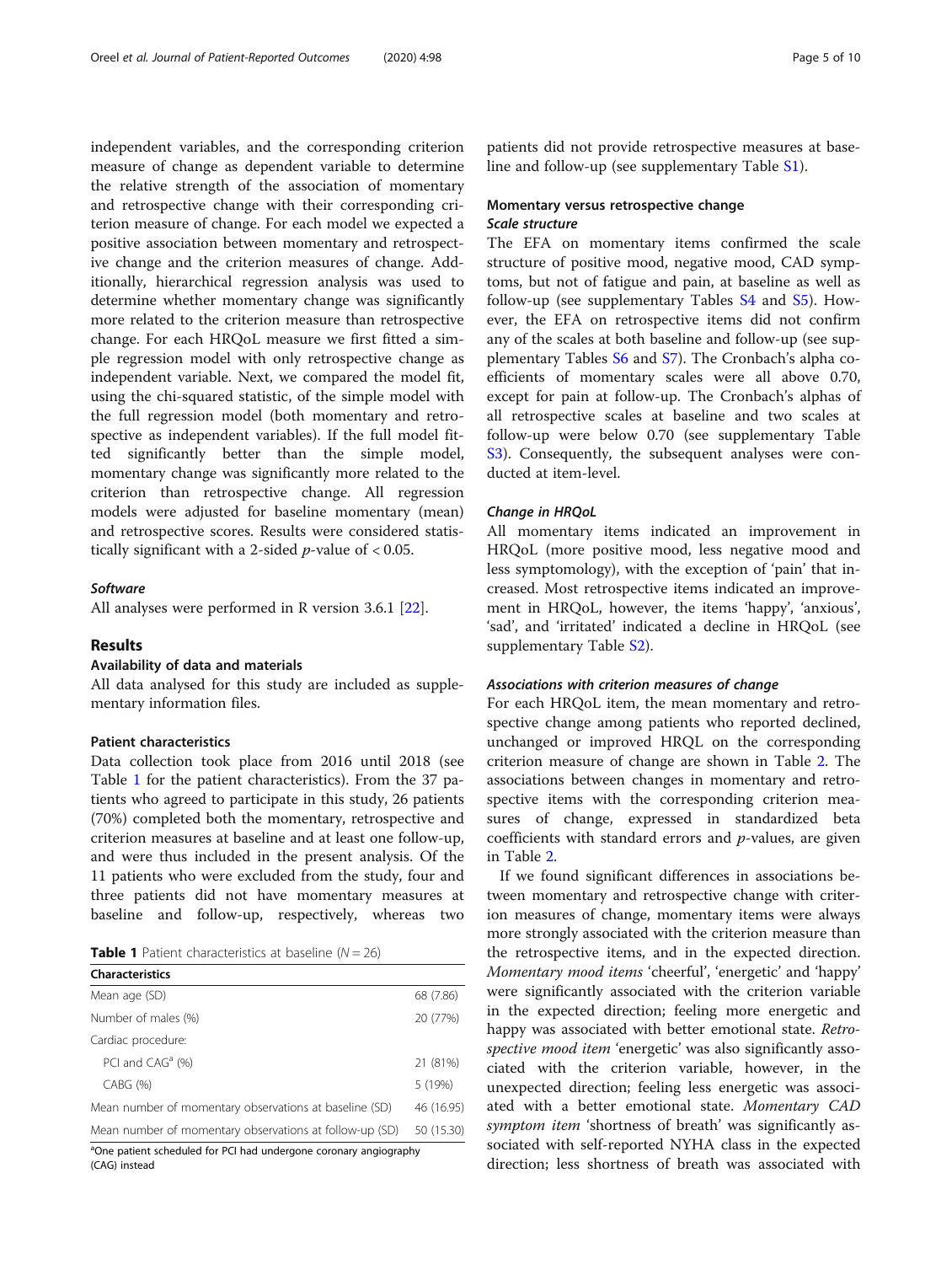independent variables, and the corresponding criterion measure of change as dependent variable to determine the relative strength of the association of momentary and retrospective change with their corresponding criterion measure of change. For each model we expected a positive association between momentary and retrospective change and the criterion measures of change. Additionally, hierarchical regression analysis was used to determine whether momentary change was significantly more related to the criterion measure than retrospective change. For each HRQoL measure we first fitted a simple regression model with only retrospective change as independent variable. Next, we compared the model fit, using the chi-squared statistic, of the simple model with the full regression model (both momentary and retrospective as independent variables). If the full model fitted significantly better than the simple model, momentary change was significantly more related to the criterion than retrospective change. All regression models were adjusted for baseline momentary (mean) and retrospective scores. Results were considered statistically significant with a 2-sided  $p$ -value of < 0.05.

#### **Software**

All analyses were performed in R version 3.6.1 [\[22\]](#page-8-0).

#### Results

#### Availability of data and materials

All data analysed for this study are included as supplementary information files.

#### Patient characteristics

Data collection took place from 2016 until 2018 (see Table 1 for the patient characteristics). From the 37 patients who agreed to participate in this study, 26 patients (70%) completed both the momentary, retrospective and criterion measures at baseline and at least one follow-up, and were thus included in the present analysis. Of the 11 patients who were excluded from the study, four and three patients did not have momentary measures at baseline and follow-up, respectively, whereas two

| <b>Table 1</b> Patient characteristics at baseline ( $N = 26$ ) |  |
|-----------------------------------------------------------------|--|
|-----------------------------------------------------------------|--|

| <b>Characteristics</b>                                            |            |
|-------------------------------------------------------------------|------------|
| Mean age (SD)                                                     | 68 (7.86)  |
| Number of males (%)                                               | 20 (77%)   |
| Cardiac procedure:                                                |            |
| PCI and CAG <sup>a</sup> (%)                                      | 21 (81%)   |
| $CABG$ $(\%)$                                                     | 5 (19%)    |
| Mean number of momentary observations at baseline (SD)            | 46 (16.95) |
| Mean number of momentary observations at follow-up (SD)           | 50 (15.30) |
| aOne patient scheduled for PCI had undergone coronary angiography |            |

ary angiography (CAG) instead

patients did not provide retrospective measures at baseline and follow-up (see supplementary Table [S1](#page-7-0)).

#### Momentary versus retrospective change Scale structure

The EFA on momentary items confirmed the scale structure of positive mood, negative mood, CAD symptoms, but not of fatigue and pain, at baseline as well as follow-up (see supplementary Tables [S4](#page-7-0) and [S5](#page-7-0)). However, the EFA on retrospective items did not confirm any of the scales at both baseline and follow-up (see supplementary Tables [S6](#page-7-0) and [S7](#page-7-0)). The Cronbach's alpha coefficients of momentary scales were all above 0.70, except for pain at follow-up. The Cronbach's alphas of all retrospective scales at baseline and two scales at follow-up were below 0.70 (see supplementary Table [S3\)](#page-7-0). Consequently, the subsequent analyses were conducted at item-level.

#### Change in HRQoL

All momentary items indicated an improvement in HRQoL (more positive mood, less negative mood and less symptomology), with the exception of 'pain' that increased. Most retrospective items indicated an improvement in HRQoL, however, the items 'happy', 'anxious', 'sad', and 'irritated' indicated a decline in HRQoL (see supplementary Table [S2\)](#page-7-0).

#### Associations with criterion measures of change

For each HRQoL item, the mean momentary and retrospective change among patients who reported declined, unchanged or improved HRQL on the corresponding criterion measure of change are shown in Table [2](#page-5-0). The associations between changes in momentary and retrospective items with the corresponding criterion measures of change, expressed in standardized beta coefficients with standard errors and  $p$ -values, are given in Table [2.](#page-5-0)

If we found significant differences in associations between momentary and retrospective change with criterion measures of change, momentary items were always more strongly associated with the criterion measure than the retrospective items, and in the expected direction. Momentary mood items 'cheerful', 'energetic' and 'happy' were significantly associated with the criterion variable in the expected direction; feeling more energetic and happy was associated with better emotional state. Retrospective mood item 'energetic' was also significantly associated with the criterion variable, however, in the unexpected direction; feeling less energetic was associated with a better emotional state. Momentary CAD symptom item 'shortness of breath' was significantly associated with self-reported NYHA class in the expected direction; less shortness of breath was associated with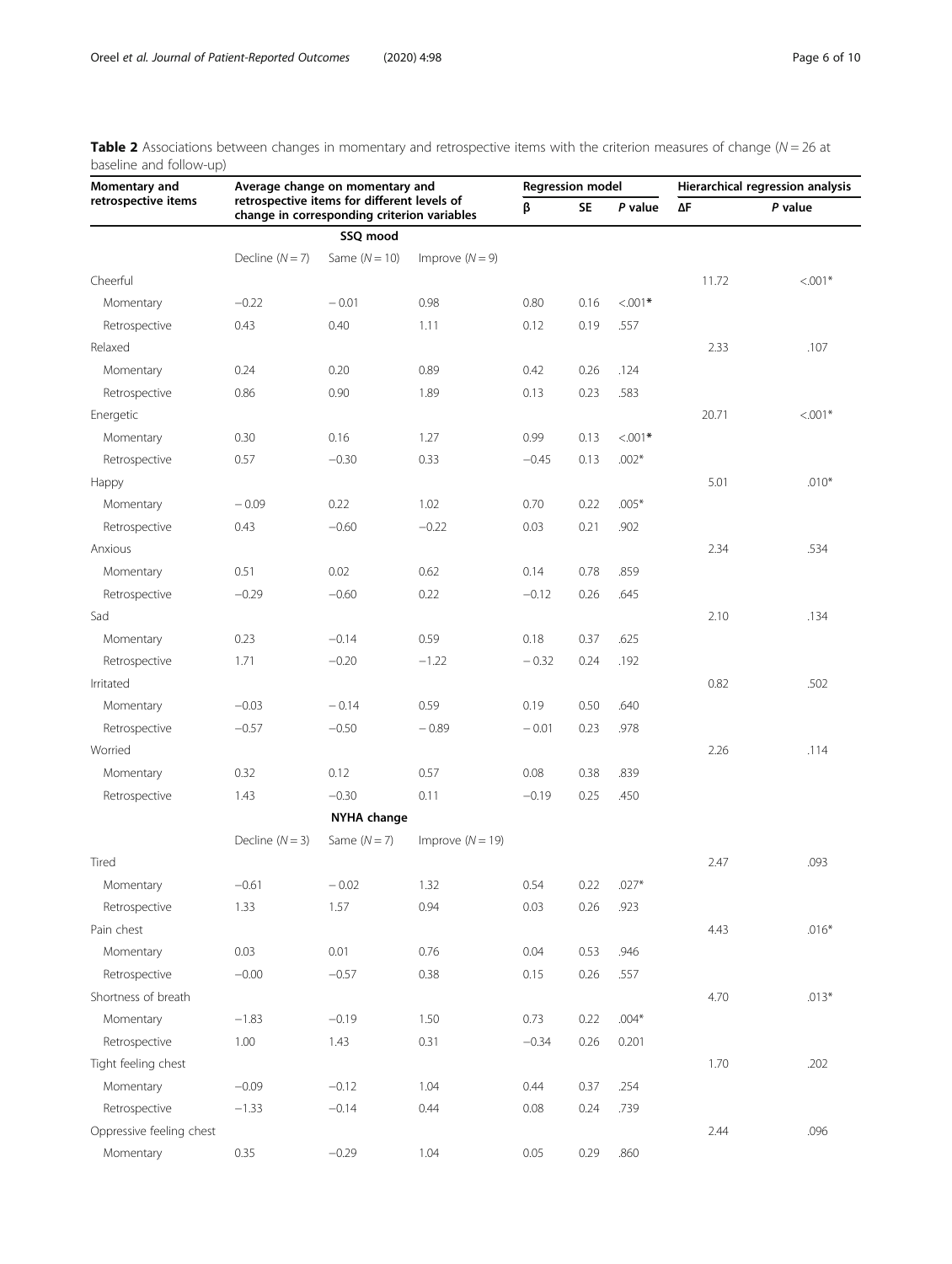<span id="page-5-0"></span>

| Table 2 Associations between changes in momentary and retrospective items with the criterion measures of change ( $N = 26$ at |  |  |  |  |  |
|-------------------------------------------------------------------------------------------------------------------------------|--|--|--|--|--|
| baseline and follow-up)                                                                                                       |  |  |  |  |  |

| Momentary and            | Average change on momentary and |                                                                                            |                    |         | <b>Regression model</b> |            | Hierarchical regression analysis |           |  |
|--------------------------|---------------------------------|--------------------------------------------------------------------------------------------|--------------------|---------|-------------------------|------------|----------------------------------|-----------|--|
| retrospective items      |                                 | retrospective items for different levels of<br>change in corresponding criterion variables |                    | β       | SE                      | P value    | $\Delta \mathsf{F}$              | P value   |  |
|                          |                                 | SSQ mood                                                                                   |                    |         |                         |            |                                  |           |  |
|                          | Decline $(N = 7)$               | Same $(N = 10)$                                                                            | Improve $(N = 9)$  |         |                         |            |                                  |           |  |
| Cheerful                 |                                 |                                                                                            |                    |         |                         |            | 11.72                            | $< .001*$ |  |
| Momentary                | $-0.22$                         | $-0.01$                                                                                    | 0.98               | 0.80    | 0.16                    | $< 0.001*$ |                                  |           |  |
| Retrospective            | 0.43                            | 0.40                                                                                       | 1.11               | 0.12    | 0.19                    | .557       |                                  |           |  |
| Relaxed                  |                                 |                                                                                            |                    |         |                         |            | 2.33                             | .107      |  |
| Momentary                | 0.24                            | 0.20                                                                                       | 0.89               | 0.42    | 0.26                    | .124       |                                  |           |  |
| Retrospective            | 0.86                            | 0.90                                                                                       | 1.89               | 0.13    | 0.23                    | .583       |                                  |           |  |
| Energetic                |                                 |                                                                                            |                    |         |                         |            | 20.71                            | $< .001*$ |  |
| Momentary                | 0.30                            | 0.16                                                                                       | 1.27               | 0.99    | 0.13                    | $< 0.001*$ |                                  |           |  |
| Retrospective            | 0.57                            | $-0.30$                                                                                    | 0.33               | $-0.45$ | 0.13                    | $.002*$    |                                  |           |  |
| Happy                    |                                 |                                                                                            |                    |         |                         |            | 5.01                             | $.010*$   |  |
| Momentary                | $-0.09$                         | 0.22                                                                                       | 1.02               | 0.70    | 0.22                    | $.005*$    |                                  |           |  |
| Retrospective            | 0.43                            | $-0.60$                                                                                    | $-0.22$            | 0.03    | 0.21                    | .902       |                                  |           |  |
| Anxious                  |                                 |                                                                                            |                    |         |                         |            | 2.34                             | .534      |  |
| Momentary                | 0.51                            | 0.02                                                                                       | 0.62               | 0.14    | 0.78                    | .859       |                                  |           |  |
| Retrospective            | $-0.29$                         | $-0.60$                                                                                    | 0.22               | $-0.12$ | 0.26                    | .645       |                                  |           |  |
| Sad                      |                                 |                                                                                            |                    |         |                         |            | 2.10                             | .134      |  |
| Momentary                | 0.23                            | $-0.14$                                                                                    | 0.59               | 0.18    | 0.37                    | .625       |                                  |           |  |
| Retrospective            | 1.71                            | $-0.20$                                                                                    | $-1.22$            | $-0.32$ | 0.24                    | .192       |                                  |           |  |
| Irritated                |                                 |                                                                                            |                    |         |                         |            | 0.82                             | .502      |  |
| Momentary                | $-0.03$                         | $-0.14$                                                                                    | 0.59               | 0.19    | 0.50                    | .640       |                                  |           |  |
| Retrospective            | $-0.57$                         | $-0.50$                                                                                    | $-0.89$            | $-0.01$ | 0.23                    | .978       |                                  |           |  |
| Worried                  |                                 |                                                                                            |                    |         |                         |            | 2.26                             | .114      |  |
| Momentary                | 0.32                            | 0.12                                                                                       | 0.57               | 0.08    | 0.38                    | .839       |                                  |           |  |
| Retrospective            | 1.43                            | $-0.30$                                                                                    | 0.11               | $-0.19$ | 0.25                    | .450       |                                  |           |  |
|                          |                                 | <b>NYHA change</b>                                                                         |                    |         |                         |            |                                  |           |  |
|                          | Decline $(N = 3)$               | Same $(N = 7)$                                                                             | Improve $(N = 19)$ |         |                         |            |                                  |           |  |
| Tired                    |                                 |                                                                                            |                    |         |                         |            | 2.47                             | .093      |  |
| Momentary                | $-0.61$                         | $-0.02$                                                                                    | 1.32               | 0.54    | 0.22                    | $.027*$    |                                  |           |  |
| Retrospective            | 1.33                            | 1.57                                                                                       | 0.94               | 0.03    | 0.26                    | .923       |                                  |           |  |
| Pain chest               |                                 |                                                                                            |                    |         |                         |            | 4.43                             | $.016*$   |  |
| Momentary                | 0.03                            | 0.01                                                                                       | 0.76               | 0.04    | 0.53                    | .946       |                                  |           |  |
| Retrospective            | $-0.00$                         | $-0.57$                                                                                    | 0.38               | 0.15    | 0.26                    | .557       |                                  |           |  |
| Shortness of breath      |                                 |                                                                                            |                    |         |                         |            | 4.70                             | $.013*$   |  |
| Momentary                | $-1.83$                         | $-0.19$                                                                                    | 1.50               | 0.73    | 0.22                    | $.004*$    |                                  |           |  |
| Retrospective            | 1.00                            | 1.43                                                                                       | 0.31               | $-0.34$ | 0.26                    | 0.201      |                                  |           |  |
| Tight feeling chest      |                                 |                                                                                            |                    |         |                         |            | 1.70                             | .202      |  |
| Momentary                | $-0.09$                         | $-0.12$                                                                                    | 1.04               | 0.44    | 0.37                    | .254       |                                  |           |  |
| Retrospective            | $-1.33$                         | $-0.14$                                                                                    | 0.44               | 0.08    | 0.24                    | .739       |                                  |           |  |
| Oppressive feeling chest |                                 |                                                                                            |                    |         |                         |            | 2.44                             | .096      |  |
| Momentary                | 0.35                            | $-0.29$                                                                                    | 1.04               | 0.05    | 0.29                    | .860       |                                  |           |  |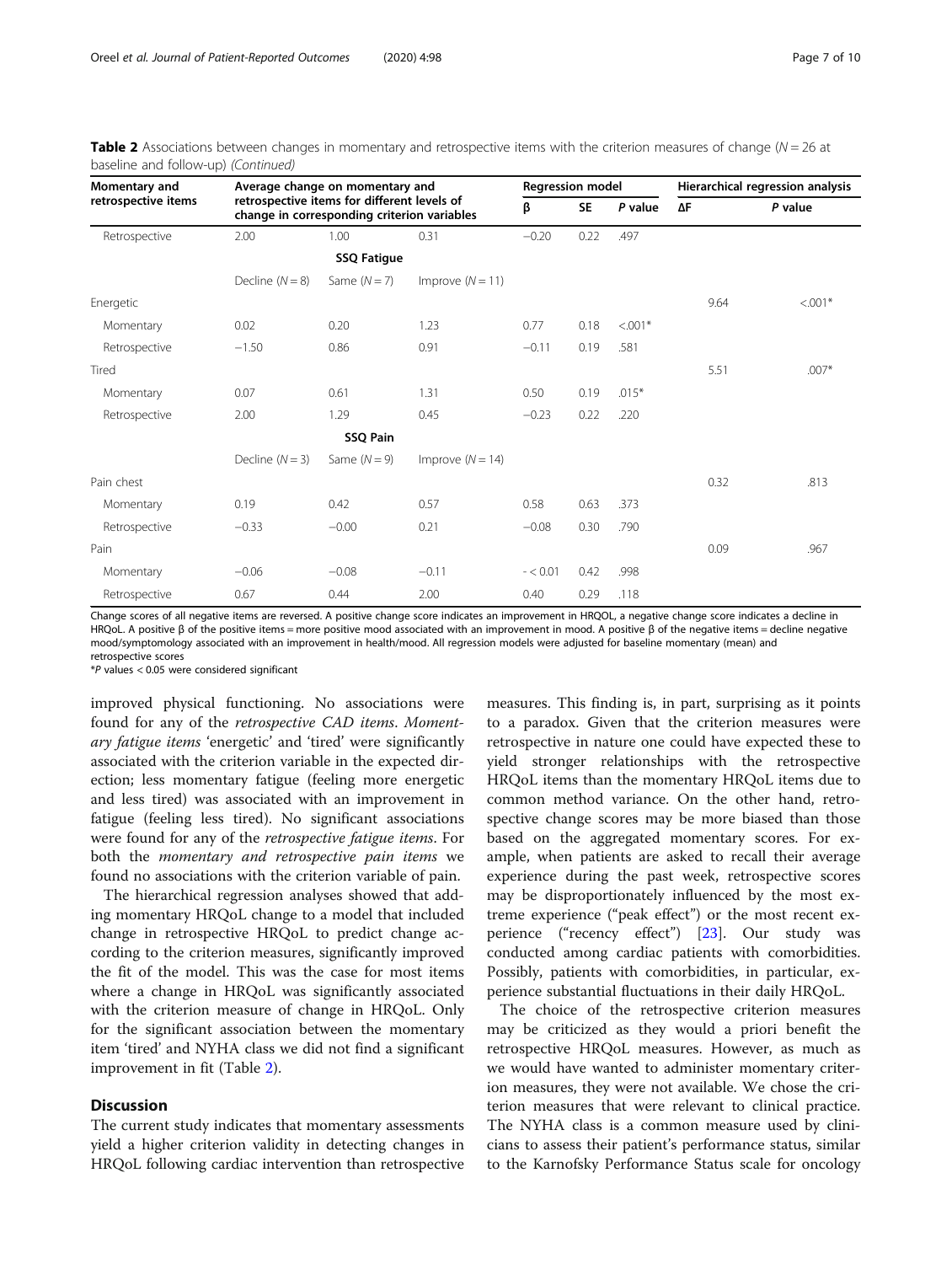| Momentary and       | Average change on momentary and | <b>Regression model</b>                                                                    |                    |            | Hierarchical regression analysis |            |      |           |
|---------------------|---------------------------------|--------------------------------------------------------------------------------------------|--------------------|------------|----------------------------------|------------|------|-----------|
| retrospective items |                                 | retrospective items for different levels of<br>change in corresponding criterion variables |                    | β          | <b>SE</b>                        | P value    | ΔF   | P value   |
| Retrospective       | 2.00                            | 1.00                                                                                       | 0.31               | $-0.20$    | 0.22                             | .497       |      |           |
|                     |                                 |                                                                                            |                    |            |                                  |            |      |           |
|                     | Decline $(N = 8)$               | Same $(N=7)$                                                                               | Improve $(N = 11)$ |            |                                  |            |      |           |
| Energetic           |                                 |                                                                                            |                    |            |                                  |            | 9.64 | $< 0.01*$ |
| Momentary           | 0.02                            | 0.20                                                                                       | 1.23               | 0.77       | 0.18                             | $< 0.001*$ |      |           |
| Retrospective       | $-1.50$                         | 0.86                                                                                       | 0.91               | $-0.11$    | 0.19                             | .581       |      |           |
| Tired               |                                 |                                                                                            |                    |            |                                  |            | 5.51 | $.007*$   |
| Momentary           | 0.07                            | 0.61                                                                                       | 1.31               | 0.50       | 0.19                             | $.015*$    |      |           |
| Retrospective       | 2.00                            | 1.29                                                                                       | 0.45               | $-0.23$    | 0.22                             | .220       |      |           |
|                     |                                 |                                                                                            |                    |            |                                  |            |      |           |
|                     | Decline $(N = 3)$               | Same $(N = 9)$                                                                             | Improve $(N = 14)$ |            |                                  |            |      |           |
| Pain chest          |                                 |                                                                                            |                    |            |                                  |            | 0.32 | .813      |
| Momentary           | 0.19                            | 0.42                                                                                       | 0.57               | 0.58       | 0.63                             | .373       |      |           |
| Retrospective       | $-0.33$                         | $-0.00$                                                                                    | 0.21               | $-0.08$    | 0.30                             | .790       |      |           |
| Pain                |                                 |                                                                                            |                    |            |                                  |            | 0.09 | .967      |
| Momentary           | $-0.06$                         | $-0.08$                                                                                    | $-0.11$            | $- < 0.01$ | 0.42                             | .998       |      |           |
| Retrospective       | 0.67                            | 0.44                                                                                       | 2.00               | 0.40       | 0.29                             | .118       |      |           |

**Table 2** Associations between changes in momentary and retrospective items with the criterion measures of change ( $N = 26$  at baseline and follow-up) (Continued)

Change scores of all negative items are reversed. A positive change score indicates an improvement in HRQOL, a negative change score indicates a decline in HRQoL. A positive β of the positive items = more positive mood associated with an improvement in mood. A positive β of the negative items = decline negative mood/symptomology associated with an improvement in health/mood. All regression models were adjusted for baseline momentary (mean) and retrospective scores

\*P values < 0.05 were considered significant

improved physical functioning. No associations were found for any of the retrospective CAD items. Momentary fatigue items 'energetic' and 'tired' were significantly associated with the criterion variable in the expected direction; less momentary fatigue (feeling more energetic and less tired) was associated with an improvement in fatigue (feeling less tired). No significant associations were found for any of the retrospective fatigue items. For both the momentary and retrospective pain items we found no associations with the criterion variable of pain.

The hierarchical regression analyses showed that adding momentary HRQoL change to a model that included change in retrospective HRQoL to predict change according to the criterion measures, significantly improved the fit of the model. This was the case for most items where a change in HRQoL was significantly associated with the criterion measure of change in HRQoL. Only for the significant association between the momentary item 'tired' and NYHA class we did not find a significant improvement in fit (Table [2\)](#page-5-0).

#### **Discussion**

The current study indicates that momentary assessments yield a higher criterion validity in detecting changes in HRQoL following cardiac intervention than retrospective measures. This finding is, in part, surprising as it points to a paradox. Given that the criterion measures were retrospective in nature one could have expected these to yield stronger relationships with the retrospective HRQoL items than the momentary HRQoL items due to common method variance. On the other hand, retrospective change scores may be more biased than those based on the aggregated momentary scores. For example, when patients are asked to recall their average experience during the past week, retrospective scores may be disproportionately influenced by the most extreme experience ("peak effect") or the most recent experience ("recency effect") [\[23](#page-9-0)]. Our study was conducted among cardiac patients with comorbidities. Possibly, patients with comorbidities, in particular, experience substantial fluctuations in their daily HRQoL.

The choice of the retrospective criterion measures may be criticized as they would a priori benefit the retrospective HRQoL measures. However, as much as we would have wanted to administer momentary criterion measures, they were not available. We chose the criterion measures that were relevant to clinical practice. The NYHA class is a common measure used by clinicians to assess their patient's performance status, similar to the Karnofsky Performance Status scale for oncology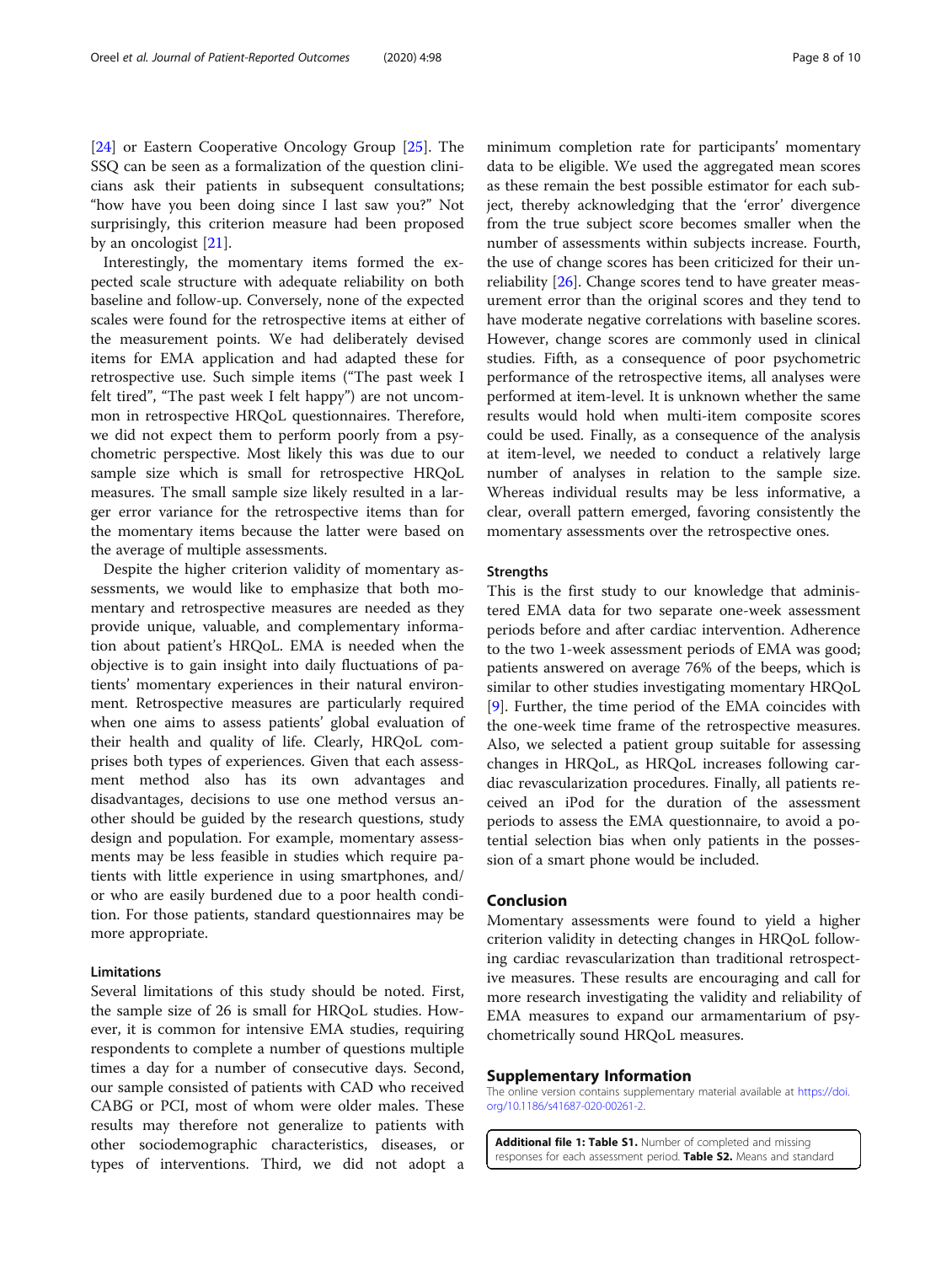<span id="page-7-0"></span>[[24\]](#page-9-0) or Eastern Cooperative Oncology Group [\[25\]](#page-9-0). The SSQ can be seen as a formalization of the question clinicians ask their patients in subsequent consultations; "how have you been doing since I last saw you?" Not surprisingly, this criterion measure had been proposed by an oncologist [[21\]](#page-8-0).

Interestingly, the momentary items formed the expected scale structure with adequate reliability on both baseline and follow-up. Conversely, none of the expected scales were found for the retrospective items at either of the measurement points. We had deliberately devised items for EMA application and had adapted these for retrospective use. Such simple items ("The past week I felt tired", "The past week I felt happy") are not uncommon in retrospective HRQoL questionnaires. Therefore, we did not expect them to perform poorly from a psychometric perspective. Most likely this was due to our sample size which is small for retrospective HRQoL measures. The small sample size likely resulted in a larger error variance for the retrospective items than for the momentary items because the latter were based on the average of multiple assessments.

Despite the higher criterion validity of momentary assessments, we would like to emphasize that both momentary and retrospective measures are needed as they provide unique, valuable, and complementary information about patient's HRQoL. EMA is needed when the objective is to gain insight into daily fluctuations of patients' momentary experiences in their natural environment. Retrospective measures are particularly required when one aims to assess patients' global evaluation of their health and quality of life. Clearly, HRQoL comprises both types of experiences. Given that each assessment method also has its own advantages and disadvantages, decisions to use one method versus another should be guided by the research questions, study design and population. For example, momentary assessments may be less feasible in studies which require patients with little experience in using smartphones, and/ or who are easily burdened due to a poor health condition. For those patients, standard questionnaires may be more appropriate.

#### **Limitations**

Several limitations of this study should be noted. First, the sample size of 26 is small for HRQoL studies. However, it is common for intensive EMA studies, requiring respondents to complete a number of questions multiple times a day for a number of consecutive days. Second, our sample consisted of patients with CAD who received CABG or PCI, most of whom were older males. These results may therefore not generalize to patients with other sociodemographic characteristics, diseases, or types of interventions. Third, we did not adopt a minimum completion rate for participants' momentary data to be eligible. We used the aggregated mean scores as these remain the best possible estimator for each subject, thereby acknowledging that the 'error' divergence from the true subject score becomes smaller when the number of assessments within subjects increase. Fourth, the use of change scores has been criticized for their unreliability [[26\]](#page-9-0). Change scores tend to have greater measurement error than the original scores and they tend to have moderate negative correlations with baseline scores. However, change scores are commonly used in clinical studies. Fifth, as a consequence of poor psychometric performance of the retrospective items, all analyses were performed at item-level. It is unknown whether the same results would hold when multi-item composite scores could be used. Finally, as a consequence of the analysis at item-level, we needed to conduct a relatively large number of analyses in relation to the sample size. Whereas individual results may be less informative, a clear, overall pattern emerged, favoring consistently the momentary assessments over the retrospective ones.

#### **Strengths**

This is the first study to our knowledge that administered EMA data for two separate one-week assessment periods before and after cardiac intervention. Adherence to the two 1-week assessment periods of EMA was good; patients answered on average 76% of the beeps, which is similar to other studies investigating momentary HRQoL [[9\]](#page-8-0). Further, the time period of the EMA coincides with the one-week time frame of the retrospective measures. Also, we selected a patient group suitable for assessing changes in HRQoL, as HRQoL increases following cardiac revascularization procedures. Finally, all patients received an iPod for the duration of the assessment periods to assess the EMA questionnaire, to avoid a potential selection bias when only patients in the possession of a smart phone would be included.

#### Conclusion

Momentary assessments were found to yield a higher criterion validity in detecting changes in HRQoL following cardiac revascularization than traditional retrospective measures. These results are encouraging and call for more research investigating the validity and reliability of EMA measures to expand our armamentarium of psychometrically sound HRQoL measures.

#### Supplementary Information

The online version contains supplementary material available at [https://doi.](https://doi.org/10.1186/s41687-020-00261-2) [org/10.1186/s41687-020-00261-2.](https://doi.org/10.1186/s41687-020-00261-2)

Additional file 1: Table S1. Number of completed and missing responses for each assessment period. Table S2. Means and standard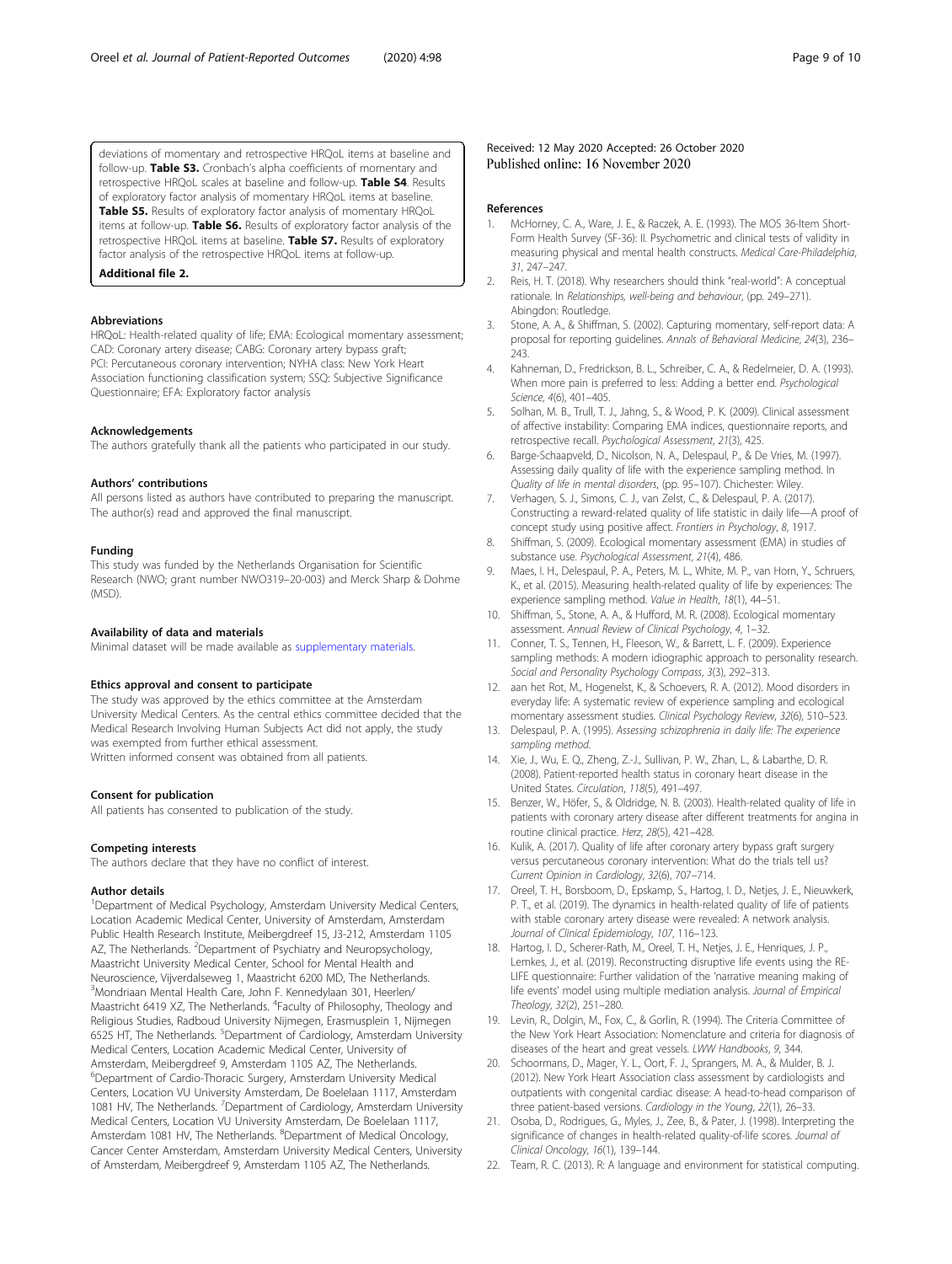<span id="page-8-0"></span>deviations of momentary and retrospective HRQoL items at baseline and follow-up. Table S3. Cronbach's alpha coefficients of momentary and retrospective HRQoL scales at baseline and follow-up. Table S4. Results of exploratory factor analysis of momentary HRQoL items at baseline. Table S5. Results of exploratory factor analysis of momentary HRQoL items at follow-up. Table S6. Results of exploratory factor analysis of the retrospective HRQoL items at baseline. Table S7. Results of exploratory factor analysis of the retrospective HRQoL items at follow-up.

Additional file 2.

#### Abbreviations

HRQoL: Health-related quality of life; EMA: Ecological momentary assessment; CAD: Coronary artery disease; CABG: Coronary artery bypass graft; PCI: Percutaneous coronary intervention; NYHA class: New York Heart Association functioning classification system; SSQ: Subjective Significance Questionnaire; EFA: Exploratory factor analysis

#### Acknowledgements

The authors gratefully thank all the patients who participated in our study.

#### Authors' contributions

All persons listed as authors have contributed to preparing the manuscript. The author(s) read and approved the final manuscript.

#### Funding

This study was funded by the Netherlands Organisation for Scientific Research (NWO; grant number NWO319–20-003) and Merck Sharp & Dohme (MSD).

#### Availability of data and materials

Minimal dataset will be made available as supplementary materials.

#### Ethics approval and consent to participate

The study was approved by the ethics committee at the Amsterdam University Medical Centers. As the central ethics committee decided that the Medical Research Involving Human Subjects Act did not apply, the study was exempted from further ethical assessment. Written informed consent was obtained from all patients.

#### Consent for publication

All patients has consented to publication of the study.

#### Competing interests

The authors declare that they have no conflict of interest.

#### Author details

<sup>1</sup>Department of Medical Psychology, Amsterdam University Medical Centers, Location Academic Medical Center, University of Amsterdam, Amsterdam Public Health Research Institute, Meibergdreef 15, J3-212, Amsterdam 1105 AZ, The Netherlands. <sup>2</sup>Department of Psychiatry and Neuropsychology, Maastricht University Medical Center, School for Mental Health and Neuroscience, Vijverdalseweg 1, Maastricht 6200 MD, The Netherlands. 3 Mondriaan Mental Health Care, John F. Kennedylaan 301, Heerlen/ Maastricht 6419 XZ, The Netherlands. <sup>4</sup>Faculty of Philosophy, Theology and Religious Studies, Radboud University Nijmegen, Erasmusplein 1, Nijmegen 6525 HT, The Netherlands. <sup>5</sup>Department of Cardiology, Amsterdam University Medical Centers, Location Academic Medical Center, University of Amsterdam, Meibergdreef 9, Amsterdam 1105 AZ, The Netherlands. 6 Department of Cardio-Thoracic Surgery, Amsterdam University Medical Centers, Location VU University Amsterdam, De Boelelaan 1117, Amsterdam 1081 HV, The Netherlands. <sup>7</sup> Department of Cardiology, Amsterdam University Medical Centers, Location VU University Amsterdam, De Boelelaan 1117,<br>Amsterdam 1081 HV, The Netherlands. <sup>8</sup>Department of Medical Oncology, Cancer Center Amsterdam, Amsterdam University Medical Centers, University of Amsterdam, Meibergdreef 9, Amsterdam 1105 AZ, The Netherlands.

#### Received: 12 May 2020 Accepted: 26 October 2020 Published online: 16 November 2020

#### References

- 1. McHorney, C. A., Ware, J. E., & Raczek, A. E. (1993). The MOS 36-Item Short-Form Health Survey (SF-36): II. Psychometric and clinical tests of validity in measuring physical and mental health constructs. Medical Care-Philadelphia, 31, 247–247.
- 2. Reis, H. T. (2018). Why researchers should think "real-world": A conceptual rationale. In Relationships, well-being and behaviour, (pp. 249–271). Abingdon: Routledge.
- 3. Stone, A. A., & Shiffman, S. (2002). Capturing momentary, self-report data: A proposal for reporting guidelines. Annals of Behavioral Medicine, 24(3), 236– 243.
- 4. Kahneman, D., Fredrickson, B. L., Schreiber, C. A., & Redelmeier, D. A. (1993). When more pain is preferred to less: Adding a better end. Psychological Science, 4(6), 401–405.
- Solhan, M. B., Trull, T. J., Jahng, S., & Wood, P. K. (2009). Clinical assessment of affective instability: Comparing EMA indices, questionnaire reports, and retrospective recall. Psychological Assessment, 21(3), 425.
- 6. Barge-Schaapveld, D., Nicolson, N. A., Delespaul, P., & De Vries, M. (1997). Assessing daily quality of life with the experience sampling method. In Quality of life in mental disorders, (pp. 95–107). Chichester: Wiley.
- 7. Verhagen, S. J., Simons, C. J., van Zelst, C., & Delespaul, P. A. (2017). Constructing a reward-related quality of life statistic in daily life—A proof of concept study using positive affect. Frontiers in Psychology, 8, 1917.
- 8. Shiffman, S. (2009). Ecological momentary assessment (EMA) in studies of substance use. Psychological Assessment, 21(4), 486.
- 9. Maes, I. H., Delespaul, P. A., Peters, M. L., White, M. P., van Horn, Y., Schruers, K., et al. (2015). Measuring health-related quality of life by experiences: The experience sampling method. Value in Health, 18(1), 44–51.
- 10. Shiffman, S., Stone, A. A., & Hufford, M. R. (2008). Ecological momentary assessment. Annual Review of Clinical Psychology, 4, 1–32.
- 11. Conner, T. S., Tennen, H., Fleeson, W., & Barrett, L. F. (2009). Experience sampling methods: A modern idiographic approach to personality research. Social and Personality Psychology Compass, 3(3), 292–313.
- 12. aan het Rot, M., Hogenelst, K., & Schoevers, R. A. (2012). Mood disorders in everyday life: A systematic review of experience sampling and ecological momentary assessment studies. Clinical Psychology Review, 32(6), 510–523.
- 13. Delespaul, P. A. (1995). Assessing schizophrenia in daily life: The experience sampling method.
- 14. Xie, J., Wu, E. Q., Zheng, Z.-J., Sullivan, P. W., Zhan, L., & Labarthe, D. R. (2008). Patient-reported health status in coronary heart disease in the United States. Circulation, 118(5), 491–497.
- 15. Benzer, W., Höfer, S., & Oldridge, N. B. (2003). Health-related quality of life in patients with coronary artery disease after different treatments for angina in routine clinical practice. Herz, 28(5), 421–428.
- 16. Kulik, A. (2017). Quality of life after coronary artery bypass graft surgery versus percutaneous coronary intervention: What do the trials tell us? Current Opinion in Cardiology, 32(6), 707–714.
- 17. Oreel, T. H., Borsboom, D., Epskamp, S., Hartog, I. D., Netjes, J. E., Nieuwkerk, P. T., et al. (2019). The dynamics in health-related quality of life of patients with stable coronary artery disease were revealed: A network analysis. Journal of Clinical Epidemiology, 107, 116–123.
- 18. Hartog, I. D., Scherer-Rath, M., Oreel, T. H., Netjes, J. E., Henriques, J. P., Lemkes, J., et al. (2019). Reconstructing disruptive life events using the RE-LIFE questionnaire: Further validation of the 'narrative meaning making of life events' model using multiple mediation analysis. Journal of Empirical Theology, 32(2), 251–280.
- 19. Levin, R., Dolgin, M., Fox, C., & Gorlin, R. (1994). The Criteria Committee of the New York Heart Association: Nomenclature and criteria for diagnosis of diseases of the heart and great vessels. LWW Handbooks, 9, 344.
- 20. Schoormans, D., Mager, Y. L., Oort, F. J., Sprangers, M. A., & Mulder, B. J. (2012). New York Heart Association class assessment by cardiologists and outpatients with congenital cardiac disease: A head-to-head comparison of three patient-based versions. Cardiology in the Young, 22(1), 26–33.
- 21. Osoba, D., Rodrigues, G., Myles, J., Zee, B., & Pater, J. (1998). Interpreting the significance of changes in health-related quality-of-life scores. Journal of Clinical Oncology, 16(1), 139–144.
- 22. Team, R. C. (2013). R: A language and environment for statistical computing.